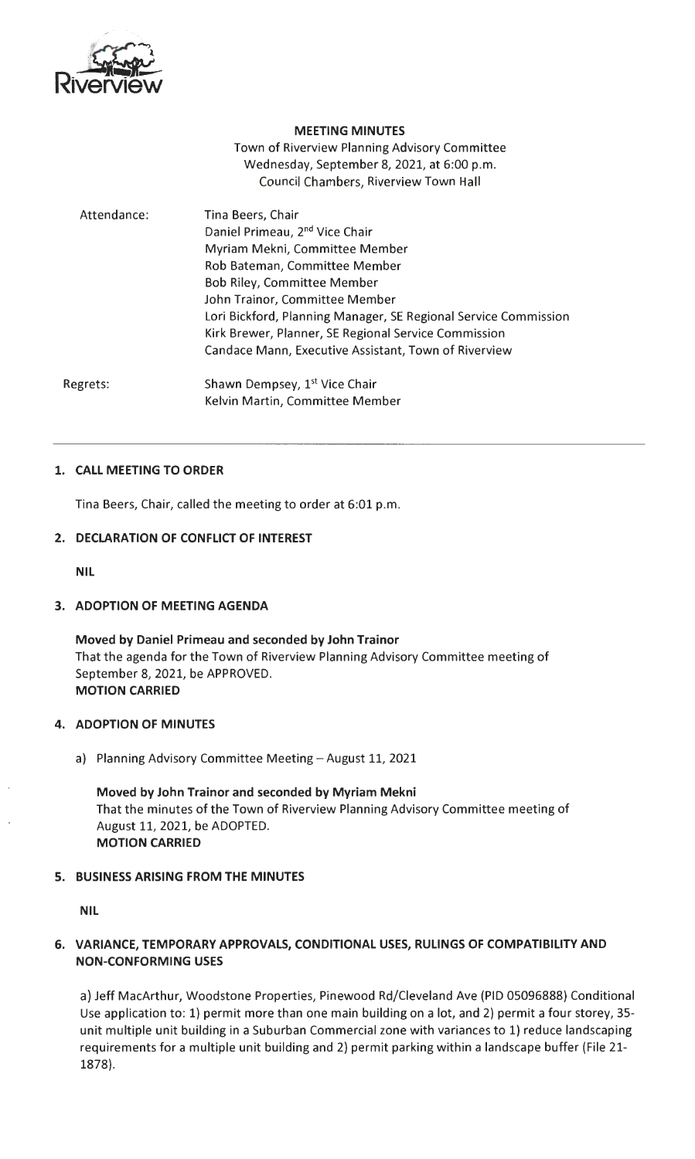

### **MEETING MINUTES**

Town of Riverview Planning Advisory Committee Wednesday, September 8, 2021, at 6:00 p.m. Council Chambers, Riverview Town Hall

| Attendance: | Tina Beers, Chair<br>Daniel Primeau, 2 <sup>nd</sup> Vice Chair<br>Myriam Mekni, Committee Member<br>Rob Bateman, Committee Member<br><b>Bob Riley, Committee Member</b><br>John Trainor, Committee Member<br>Lori Bickford, Planning Manager, SE Regional Service Commission<br>Kirk Brewer, Planner, SE Regional Service Commission |
|-------------|---------------------------------------------------------------------------------------------------------------------------------------------------------------------------------------------------------------------------------------------------------------------------------------------------------------------------------------|
|             | Candace Mann, Executive Assistant, Town of Riverview                                                                                                                                                                                                                                                                                  |
| egrets:     | Shawn Dempsey, 1 <sup>st</sup> Vice Chair                                                                                                                                                                                                                                                                                             |

Regrets: Kelvin Martin, Committee Member

## **1. CALL MEETING TO ORDER**

Tina Beers, Chair, called the meeting to order at 6:01 p.m.

## **2. DECLARATION OF CONFLICT OF INTEREST**

**NIL** 

## **3. ADOPTION OF MEETING AGENDA**

**Moved by Daniel Primeau and seconded by John Trainor**  That the agenda for the Town of Riverview Planning Advisory Committee meeting of September 8, 2021, be APPROVED. **MOTION CARRIED** 

## **4. ADOPTION OF MINUTES**

a) Planning Advisory Committee Meeting-August 11, 2021

**Moved by John Trainor and seconded by Myriam Mekni**  That the minutes of the Town of Riverview Planning Advisory Committee meeting of August 11, 2021, be ADOPTED. **MOTION CARRIED** 

## **5. BUSINESS ARISING FROM THE MINUTES**

**NIL** 

# **6. VARIANCE, TEMPORARY APPROVALS, CONDITIONAL USES, RULINGS OF COMPATIBILITY AND NON-CONFORMING USES**

a) Jeff MacArthur, Woodstone Properties, Pinewood Rd/Cleveland Ave (PIO 05096888) Conditional Use application to: 1) permit more than one main building on a lot, and 2) permit a four storey, 35 unit multiple unit building in a Suburban Commercial zone with variances to 1) reduce landscaping requirements for a multiple unit building and 2) permit parking within a landscape buffer (File 21- 1878).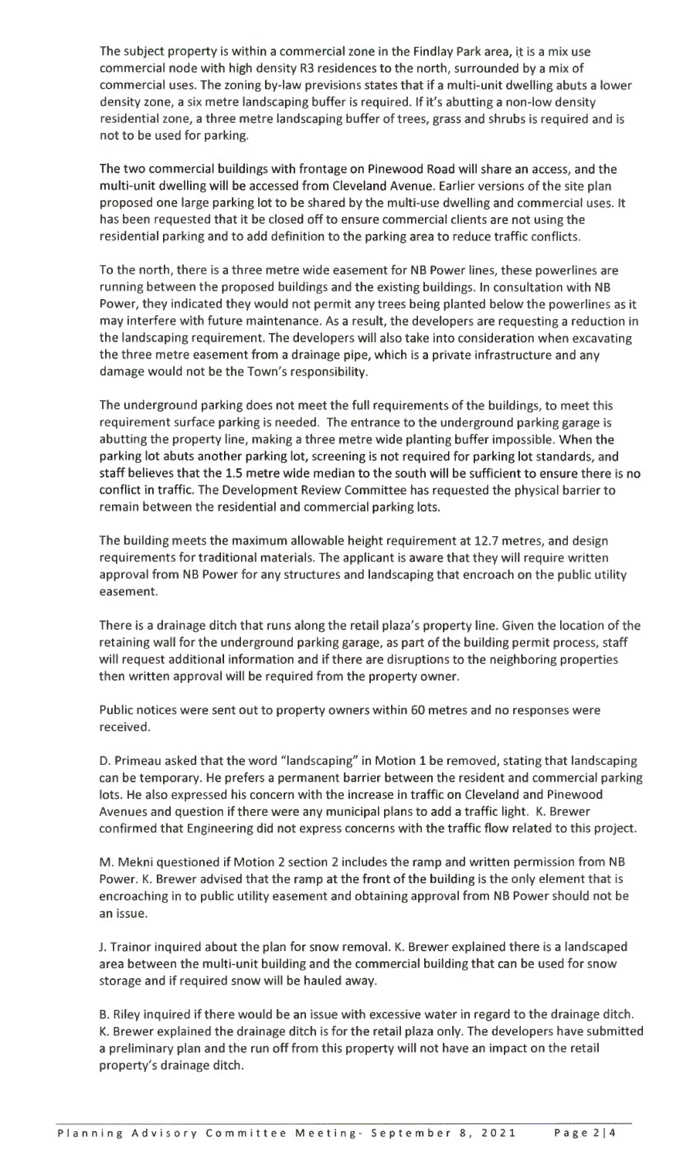The subject property is within a commercial zone in the Findlay Park area, it is a mix use commercial node with high density R3 residences to the north, surrounded by a mix of commercial uses. The zoning by-law previsions states that if a multi-unit dwelling abuts a lower density zone, a six metre landscaping buffer is required. If it's abutting a non-low density residential zone, a three metre landscaping buffer of trees, grass and shrubs is required and is not to be used for parking.

The two commercial buildings with frontage on Pinewood Road will share an access, and the multi-unit dwelling will be accessed from Cleveland Avenue. Earlier versions of the site plan proposed one large parking lot to be shared by the multi-use dwelling and commercial uses. It has been requested that it be closed off to ensure commercial clients are not using the residential parking and to add definition to the parking area to reduce traffic conflicts.

To the north, there is a three metre wide easement for NB Power lines, these powerlines are running between the proposed buildings and the existing buildings. In consultation with NB Power, they indicated they would not permit any trees being planted below the powerlines as it may interfere with future maintenance. As a result, the developers are requesting a reduction in the landscaping requirement. The developers will also take into consideration when excavating the three metre easement from a drainage pipe, which is a private infrastructure and any damage would not be the Town's responsibility.

The underground parking does not meet the full requirements of the buildings, to meet this requirement surface parking is needed. The entrance to the underground parking garage is abutting the property line, making a three metre wide planting buffer impossible. When the parking lot abuts another parking lot, screening is not required for parking lot standards, and staff believes that the 1.5 metre wide median to the south will be sufficient to ensure there is no conflict in traffic. The Development Review Committee has requested the physical barrier to remain between the residential and commercial parking lots.

The building meets the maximum allowable height requirement at 12.7 metres, and design requirements for traditional materials. The applicant is aware that they will require written approval from NB Power for any structures and landscaping that encroach on the public utility easement.

There is a drainage ditch that runs along the retail plaza's property line. Given the location of the retaining wall for the underground parking garage, as part of the building permit process, staff will request additional information and if there are disruptions to the neighboring properties then written approval will be required from the property owner.

Public notices were sent out to property owners within 60 metres and no responses were received.

D. Primeau asked that the word "landscaping" in Motion 1 be removed, stating that landscaping can be temporary. He prefers a permanent barrier between the resident and commercial parking lots. He also expressed his concern with the increase in traffic on Cleveland and Pinewood Avenues and question if there were any municipal plans to add a traffic light. K. Brewer confirmed that Engineering did not express concerns with the traffic flow related to this project.

M. Mekni questioned if Motion 2 section 2 includes the ramp and written permission from NB Power. K. Brewer advised that the ramp at the front of the building is the only element that is encroaching in to public utility easement and obtaining approval from NB Power should not be an issue.

J. Trainor inquired about the plan for snow removal. K. Brewer explained there is a landscaped area between the multi-unit building and the commercial building that can be used for snow storage and if required snow will be hauled away.

B. Riley inquired if there would be an issue with excessive water in regard to the drainage ditch. K. Brewer explained the drainage ditch is for the retail plaza only. The developers have submitted a preliminary plan and the run off from this property will not have an impact on the retail property's drainage ditch.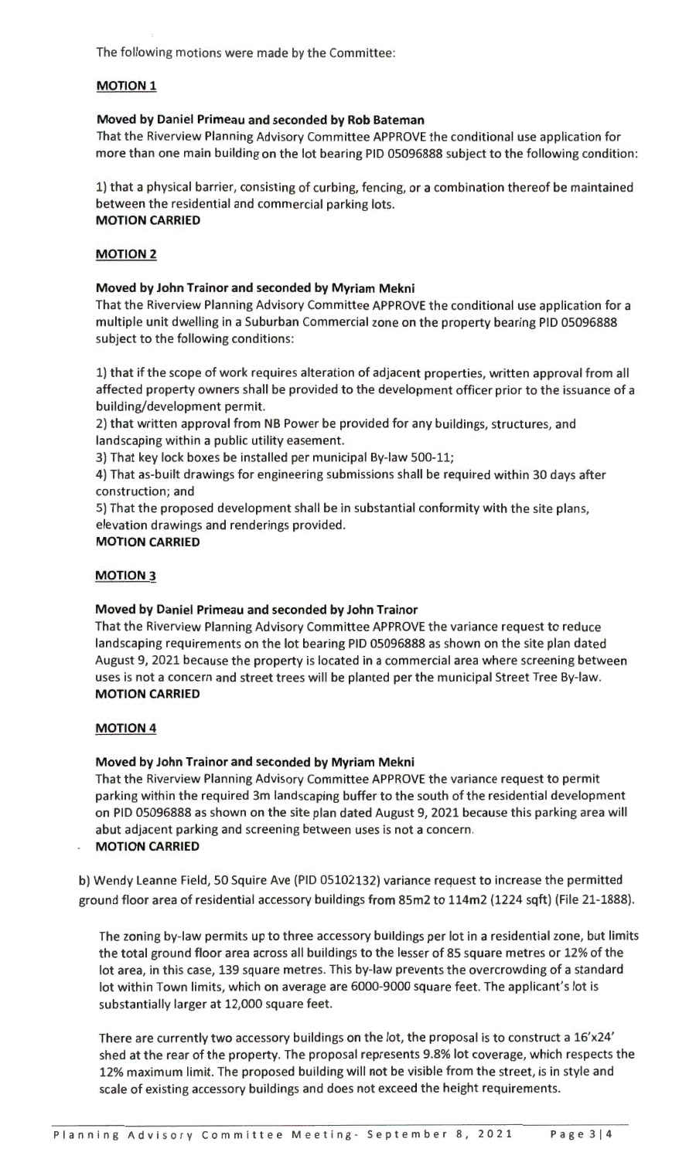The following motions were made by the Committee:

# **MOTION 1**

## **Moved by Daniel Primeau and seconded by Rob Bateman**

That the Riverview Planning Advisory Committee APPROVE the conditional use application for more than one main building on the lot bearing PID 05096888 subject to the following condition:

1) that a physical barrier, consisting of curbing, fencing, or a combination thereof be maintained between the residential and commercial parking lots. **MOTION CARRIED** 

## **MOTION 2**

### **Moved by John Trainor and seconded by Myriam Mekni**

That the Riverview Planning Advisory Committee APPROVE the conditional use application for a multiple unit dwelling in a Suburban Commercial zone on the property bearing PID 05096888 subject to the following conditions:

1) that if the scope of work requires alteration of adjacent properties, written approval from all affected property owners shall be provided to the development officer prior to the issuance of a building/development permit.

2) that written approval from NB Power be provided for any buildings, structures, and landscaping within a public utility easement.

3) That key lock boxes be installed per municipal By-law 500-11;

4) That as-built drawings for engineering submissions shall be required within 30 days after construction; and

5) That the proposed development shall be in substantial conformity with the site plans, elevation drawings and renderings provided.

### **MOTION CARRIED**

### **MOTION 3**

## **Moved by Daniel Primeau and seconded by John Trainor**

That the Riverview Planning Advisory Committee APPROVE the variance request to reduce landscaping requirements on the lot bearing PID 05096888 as shown on the site plan dated August 9, 2021 because the property is located in a commercial area where screening between uses is not a concern and street trees will be planted per the municipal Street Tree By-law. **MOTION CARRIED** 

## **MOTION 4**

## **Moved by John Trainor and seconded by Myriam Mekni**

That the Riverview Planning Advisory Committee APPROVE the variance request to permit parking within the required 3m landscaping buffer to the south of the residential development on PID 05096888 as shown on the site plan dated August 9, 2021 because this parking area will abut adjacent parking and screening between uses is not a concern.

### **MOTION CARRIED**

b) Wendy Leanne Field, 50 Squire Ave (PID 05102132) variance request to increase the permitted ground floor area of residential accessory buildings from 85m2 to 114m2 (1224 sqft) (File 21-1888).

The zoning by-law permits up to three accessory buildings per lot in a residential zone, but limits the total ground floor area across all buildings to the lesser of 85 square metres or 12% of the lot area, in this case, 139 square metres. This by-law prevents the overcrowding of a standard lot within Town limits, which on average are 6000-9000 square feet. The applicant's lot is substantially larger at 12,000 square feet.

There are currently two accessory buildings on the lot, the proposal is to construct a 16'x24' shed at the rear of the property. The proposal represents 9.8% lot coverage, which respects the 12% maximum limit. The proposed building will not be visible from the street, is in style and scale of existing accessory buildings and does not exceed the height requirements.